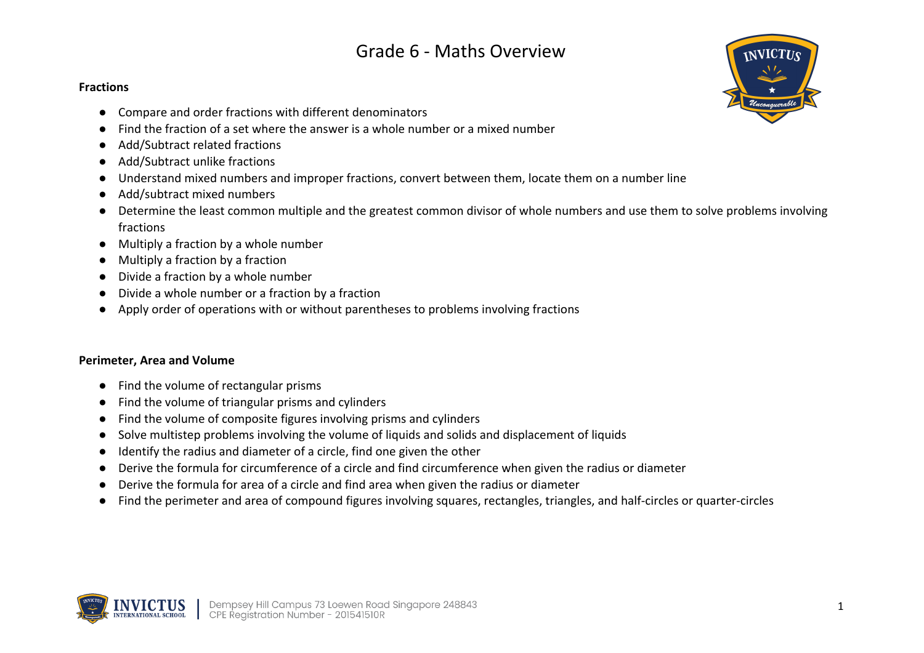#### **Fractions**

- Compare and order fractions with different denominators
- Find the fraction of a set where the answer is a whole number or a mixed number
- Add/Subtract related fractions
- Add/Subtract unlike fractions
- Understand mixed numbers and improper fractions, convert between them, locate them on a number line
- Add/subtract mixed numbers
- Determine the least common multiple and the greatest common divisor of whole numbers and use them to solve problems involving fractions
- Multiply a fraction by a whole number
- Multiply a fraction by a fraction
- Divide a fraction by a whole number
- Divide a whole number or a fraction by a fraction
- Apply order of operations with or without parentheses to problems involving fractions

### **Perimeter, Area and Volume**

- Find the volume of rectangular prisms
- Find the volume of triangular prisms and cylinders
- Find the volume of composite figures involving prisms and cylinders
- Solve multistep problems involving the volume of liquids and solids and displacement of liquids
- Identify the radius and diameter of a circle, find one given the other
- Derive the formula for circumference of a circle and find circumference when given the radius or diameter
- Derive the formula for area of a circle and find area when given the radius or diameter
- Find the perimeter and area of compound figures involving squares, rectangles, triangles, and half-circles or quarter-circles



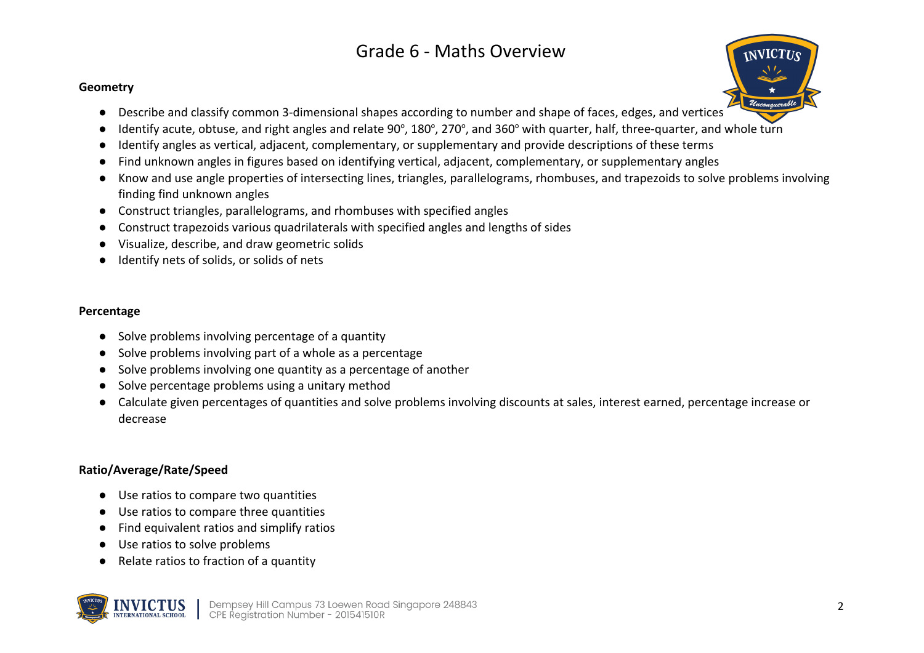#### **Geometry**

- Describe and classify common 3-dimensional shapes according to number and shape of faces, edges, and vertices
- $\bullet$  Identify acute, obtuse, and right angles and relate 90°, 180°, 270°, and 360° with quarter, half, three-quarter, and whole turn
- Identify angles as vertical, adjacent, complementary, or supplementary and provide descriptions of these terms
- Find unknown angles in figures based on identifying vertical, adjacent, complementary, or supplementary angles
- Know and use angle properties of intersecting lines, triangles, parallelograms, rhombuses, and trapezoids to solve problems involving finding find unknown angles
- Construct triangles, parallelograms, and rhombuses with specified angles
- Construct trapezoids various quadrilaterals with specified angles and lengths of sides
- Visualize, describe, and draw geometric solids
- Identify nets of solids, or solids of nets

#### **Percentage**

- Solve problems involving percentage of a quantity
- Solve problems involving part of a whole as a percentage
- Solve problems involving one quantity as a percentage of another
- Solve percentage problems using a unitary method
- Calculate given percentages of quantities and solve problems involving discounts at sales, interest earned, percentage increase or decrease

### **Ratio/Average/Rate/Speed**

- Use ratios to compare two quantities
- Use ratios to compare three quantities
- Find equivalent ratios and simplify ratios
- Use ratios to solve problems
- Relate ratios to fraction of a quantity



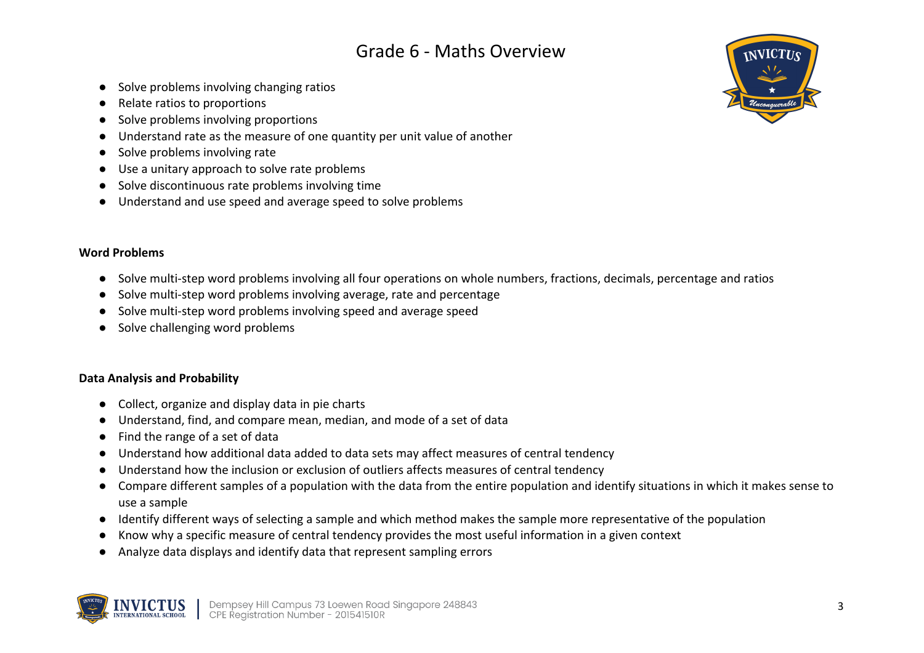- Solve problems involving changing ratios
- Relate ratios to proportions
- Solve problems involving proportions
- Understand rate as the measure of one quantity per unit value of another
- Solve problems involving rate
- Use a unitary approach to solve rate problems
- Solve discontinuous rate problems involving time
- Understand and use speed and average speed to solve problems

#### **Word Problems**

- Solve multi-step word problems involving all four operations on whole numbers, fractions, decimals, percentage and ratios
- Solve multi-step word problems involving average, rate and percentage
- Solve multi-step word problems involving speed and average speed
- Solve challenging word problems

#### **Data Analysis and Probability**

- Collect, organize and display data in pie charts
- Understand, find, and compare mean, median, and mode of a set of data
- Find the range of a set of data
- Understand how additional data added to data sets may affect measures of central tendency
- Understand how the inclusion or exclusion of outliers affects measures of central tendency
- Compare different samples of a population with the data from the entire population and identify situations in which it makes sense to use a sample
- Identify different ways of selecting a sample and which method makes the sample more representative of the population
- Know why a specific measure of central tendency provides the most useful information in a given context
- Analyze data displays and identify data that represent sampling errors



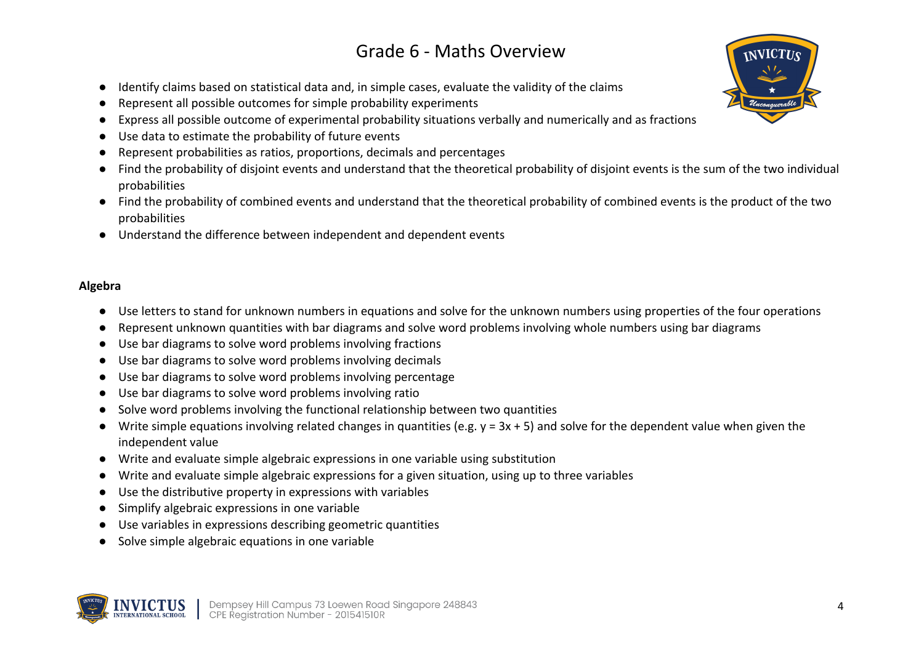- Identify claims based on statistical data and, in simple cases, evaluate the validity of the claims
- Represent all possible outcomes for simple probability experiments
- Express all possible outcome of experimental probability situations verbally and numerically and as fractions
- Use data to estimate the probability of future events
- Represent probabilities as ratios, proportions, decimals and percentages
- Find the probability of disjoint events and understand that the theoretical probability of disjoint events is the sum of the two individual probabilities
- Find the probability of combined events and understand that the theoretical probability of combined events is the product of the two probabilities
- Understand the difference between independent and dependent events

#### **Algebra**

- Use letters to stand for unknown numbers in equations and solve for the unknown numbers using properties of the four operations
- Represent unknown quantities with bar diagrams and solve word problems involving whole numbers using bar diagrams
- Use bar diagrams to solve word problems involving fractions
- Use bar diagrams to solve word problems involving decimals
- Use bar diagrams to solve word problems involving percentage
- Use bar diagrams to solve word problems involving ratio
- Solve word problems involving the functional relationship between two quantities
- Write simple equations involving related changes in quantities (e.g. y = 3x + 5) and solve for the dependent value when given the independent value
- Write and evaluate simple algebraic expressions in one variable using substitution
- Write and evaluate simple algebraic expressions for a given situation, using up to three variables
- Use the distributive property in expressions with variables
- Simplify algebraic expressions in one variable
- Use variables in expressions describing geometric quantities
- Solve simple algebraic equations in one variable



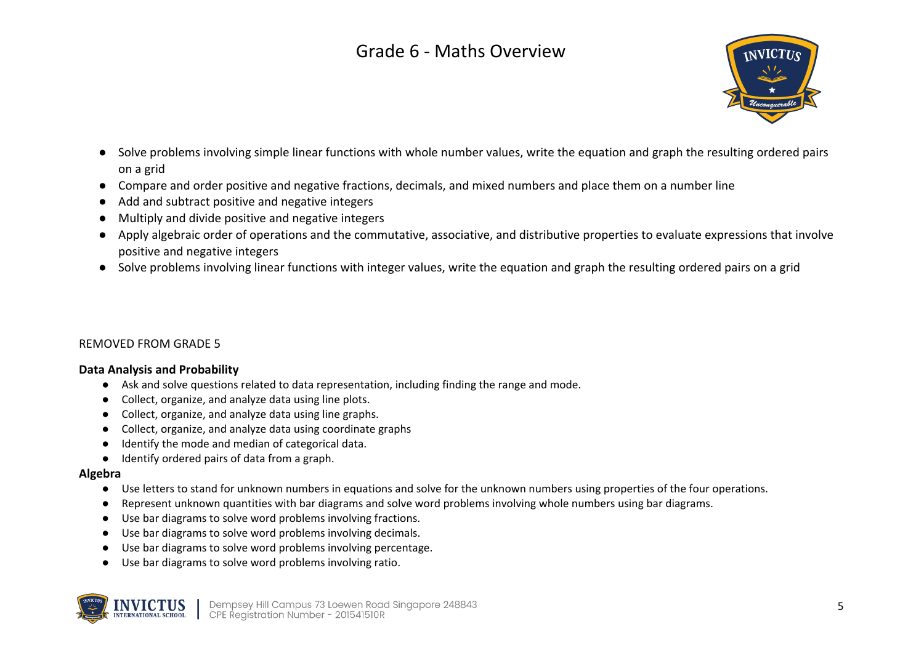

- Solve problems involving simple linear functions with whole number values, write the equation and graph the resulting ordered pairs on a grid
- Compare and order positive and negative fractions, decimals, and mixed numbers and place them on a number line
- Add and subtract positive and negative integers
- Multiply and divide positive and negative integers
- Apply algebraic order of operations and the commutative, associative, and distributive properties to evaluate expressions that involve positive and negative integers
- Solve problems involving linear functions with integer values, write the equation and graph the resulting ordered pairs on a grid

#### REMOVED FROM GRADE 5

#### **Data Analysis and Probability**

- Ask and solve questions related to data representation, including finding the range and mode.
- Collect, organize, and analyze data using line plots.
- Collect, organize, and analyze data using line graphs.
- Collect, organize, and analyze data using coordinate graphs
- Identify the mode and median of categorical data.
- Identify ordered pairs of data from a graph.

#### **Algebra**

- Use letters to stand for unknown numbers in equations and solve for the unknown numbers using properties of the four operations.
- Represent unknown quantities with bar diagrams and solve word problems involving whole numbers using bar diagrams.
- Use bar diagrams to solve word problems involving fractions.
- Use bar diagrams to solve word problems involving decimals.
- Use bar diagrams to solve word problems involving percentage.
- Use bar diagrams to solve word problems involving ratio.



Dempsey Hill Campus 73 Loewen Road Singapore 248843<br>CPE Registration Number - 201541510R